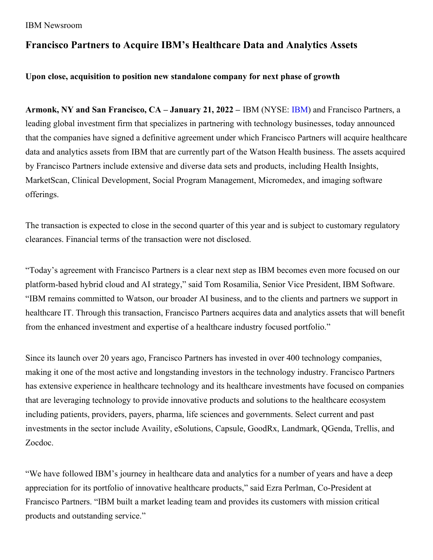#### IBM Newsroom

# **Francisco Partners to Acquire IBM's Healthcare Data and Analytics Assets**

## **Upon close, acquisition to position new standalone company for next phase of growth**

**Armonk, NY and San Francisco, CA – January 21, 2022 –** IBM (NYSE: [IBM](http://www.ibm.com/investor)) and Francisco Partners, a leading global investment firm that specializes in partnering with technology businesses, today announced that the companies have signed a definitive agreement under which Francisco Partners will acquire healthcare data and analytics assets from IBM that are currently part of the Watson Health business. The assets acquired by Francisco Partners include extensive and diverse data sets and products, including Health Insights, MarketScan, Clinical Development, Social Program Management, Micromedex, and imaging software offerings.

The transaction is expected to close in the second quarter of this year and is subject to customary regulatory clearances. Financial terms of the transaction were not disclosed.

"Today's agreement with Francisco Partners is a clear next step as IBM becomes even more focused on our platform-based hybrid cloud and AI strategy," said Tom Rosamilia, Senior Vice President, IBM Software. "IBM remains committed to Watson, our broader AI business, and to the clients and partners we support in healthcare IT. Through this transaction, Francisco Partners acquires data and analytics assets that will benefit from the enhanced investment and expertise of a healthcare industry focused portfolio."

Since its launch over 20 years ago, Francisco Partners has invested in over 400 technology companies, making it one of the most active and longstanding investors in the technology industry. Francisco Partners has extensive experience in healthcare technology and its healthcare investments have focused on companies that are leveraging technology to provide innovative products and solutions to the healthcare ecosystem including patients, providers, payers, pharma, life sciences and governments. Select current and past investments in the sector include Availity, eSolutions, Capsule, GoodRx, Landmark, QGenda, Trellis, and Zocdoc.

"We have followed IBM's journey in healthcare data and analytics for a number of years and have a deep appreciation for its portfolio of innovative healthcare products," said Ezra Perlman, Co-President at Francisco Partners. "IBM built a market leading team and provides its customers with mission critical products and outstanding service."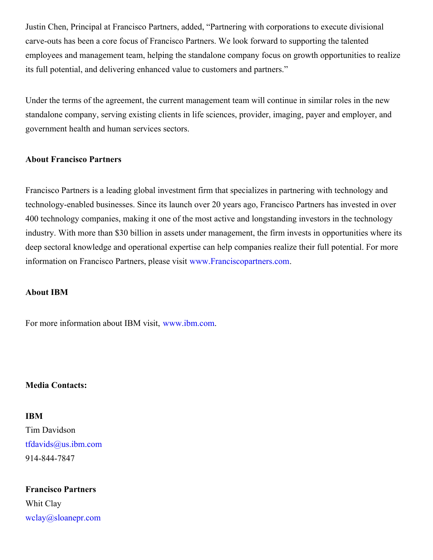Justin Chen, Principal at Francisco Partners, added, "Partnering with corporations to execute divisional carve-outs has been a core focus of Francisco Partners. We look forward to supporting the talented employees and management team, helping the standalone company focus on growth opportunities to realize its full potential, and delivering enhanced value to customers and partners."

Under the terms of the agreement, the current management team will continue in similar roles in the new standalone company, serving existing clients in life sciences, provider, imaging, payer and employer, and government health and human services sectors.

### **About Francisco Partners**

Francisco Partners is a leading global investment firm that specializes in partnering with technology and technology-enabled businesses. Since its launch over 20 years ago, Francisco Partners has invested in over 400 technology companies, making it one of the most active and longstanding investors in the technology industry. With more than \$30 billion in assets under management, the firm invests in opportunities where its deep sectoral knowledge and operational expertise can help companies realize their full potential. For more information on Francisco Partners, please visit [www.Franciscopartners.com](http://www.franciscopartners.com/).

#### **About IBM**

For more information about IBM visit, [www.ibm.com](http://www.ibm.com/).

## **Media Contacts:**

#### **IBM**

Tim Davidson [tfdavids@us.ibm.com](mailto:tfdavids@us.ibm.com) 914-844-7847

## **Francisco Partners**

Whit Clay [wclay@sloanepr.com](mailto:wclay@sloanepr.com)